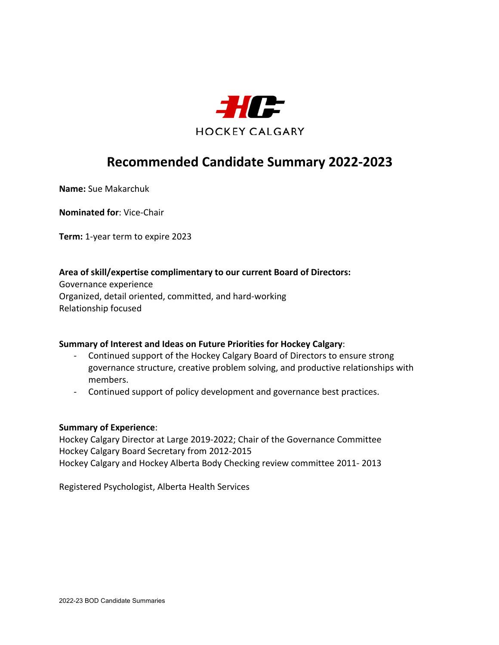

**Name:** Sue Makarchuk

**Nominated for**: Vice-Chair

**Term:** 1-year term to expire 2023

## **Area of skill/expertise complimentary to our current Board of Directors:**

Governance experience Organized, detail oriented, committed, and hard-working Relationship focused

## **Summary of Interest and Ideas on Future Priorities for Hockey Calgary**:

- Continued support of the Hockey Calgary Board of Directors to ensure strong governance structure, creative problem solving, and productive relationships with members.
- Continued support of policy development and governance best practices.

#### **Summary of Experience**:

Hockey Calgary Director at Large 2019-2022; Chair of the Governance Committee Hockey Calgary Board Secretary from 2012-2015 Hockey Calgary and Hockey Alberta Body Checking review committee 2011- 2013

Registered Psychologist, Alberta Health Services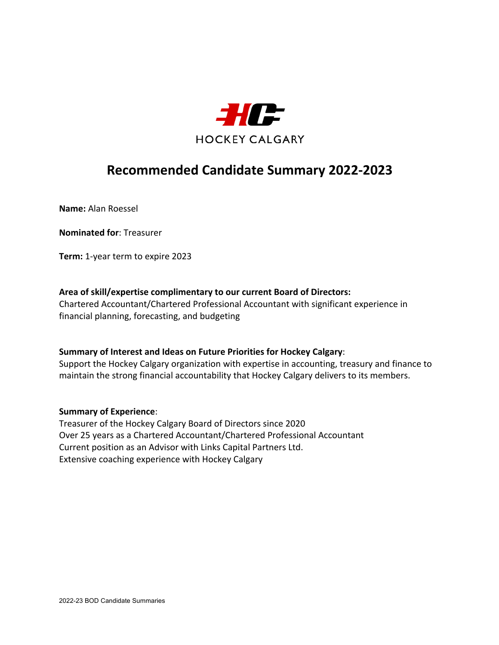

**Name:** Alan Roessel

**Nominated for**: Treasurer

**Term:** 1-year term to expire 2023

## **Area of skill/expertise complimentary to our current Board of Directors:**

Chartered Accountant/Chartered Professional Accountant with significant experience in financial planning, forecasting, and budgeting

## **Summary of Interest and Ideas on Future Priorities for Hockey Calgary**:

Support the Hockey Calgary organization with expertise in accounting, treasury and finance to maintain the strong financial accountability that Hockey Calgary delivers to its members.

## **Summary of Experience**:

Treasurer of the Hockey Calgary Board of Directors since 2020 Over 25 years as a Chartered Accountant/Chartered Professional Accountant Current position as an Advisor with Links Capital Partners Ltd. Extensive coaching experience with Hockey Calgary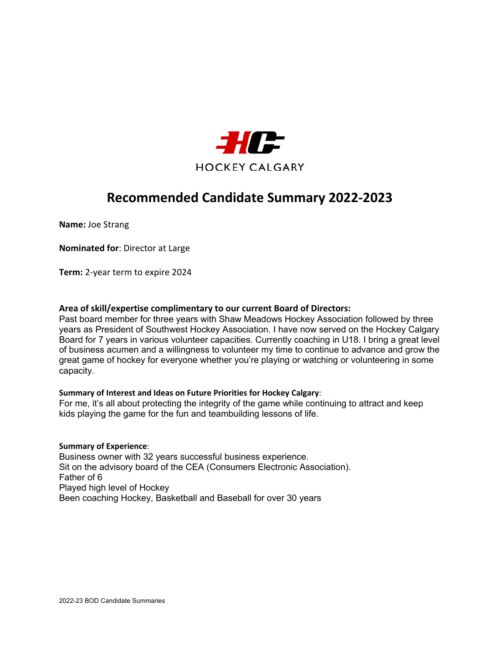

**Name:** Joe Strang

**Nominated for**: Director at Large

**Term:** 2-year term to expire 2024

#### **Area of skill/expertise complimentary to our current Board of Directors:**

Past board member for three years with Shaw Meadows Hockey Association followed by three years as President of Southwest Hockey Association. I have now served on the Hockey Calgary Board for 7 years in various volunteer capacities. Currently coaching in U18. I bring a great level of business acumen and a willingness to volunteer my time to continue to advance and grow the great game of hockey for everyone whether you're playing or watching or volunteering in some capacity.

#### **Summary of Interest and Ideas on Future Priorities for Hockey Calgary**:

For me, it's all about protecting the integrity of the game while continuing to attract and keep kids playing the game for the fun and teambuilding lessons of life.

#### **Summary of Experience**:

Business owner with 32 years successful business experience. Sit on the advisory board of the CEA (Consumers Electronic Association). Father of 6 Played high level of Hockey Been coaching Hockey, Basketball and Baseball for over 30 years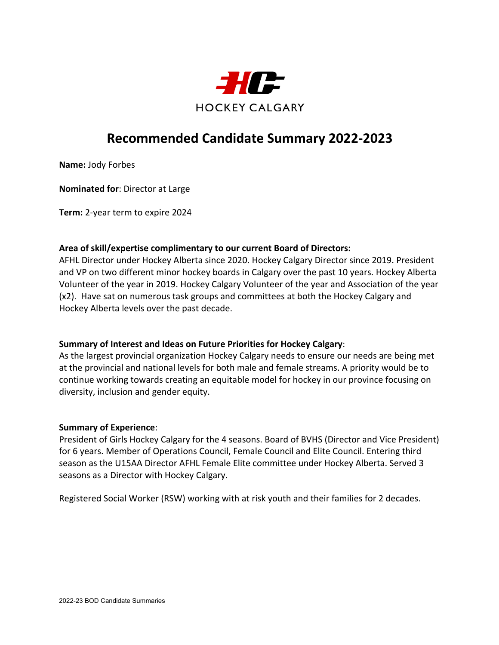

**Name:** Jody Forbes

**Nominated for**: Director at Large

**Term:** 2-year term to expire 2024

## **Area of skill/expertise complimentary to our current Board of Directors:**

AFHL Director under Hockey Alberta since 2020. Hockey Calgary Director since 2019. President and VP on two different minor hockey boards in Calgary over the past 10 years. Hockey Alberta Volunteer of the year in 2019. Hockey Calgary Volunteer of the year and Association of the year (x2). Have sat on numerous task groups and committees at both the Hockey Calgary and Hockey Alberta levels over the past decade.

## **Summary of Interest and Ideas on Future Priorities for Hockey Calgary**:

As the largest provincial organization Hockey Calgary needs to ensure our needs are being met at the provincial and national levels for both male and female streams. A priority would be to continue working towards creating an equitable model for hockey in our province focusing on diversity, inclusion and gender equity.

#### **Summary of Experience**:

President of Girls Hockey Calgary for the 4 seasons. Board of BVHS (Director and Vice President) for 6 years. Member of Operations Council, Female Council and Elite Council. Entering third season as the U15AA Director AFHL Female Elite committee under Hockey Alberta. Served 3 seasons as a Director with Hockey Calgary.

Registered Social Worker (RSW) working with at risk youth and their families for 2 decades.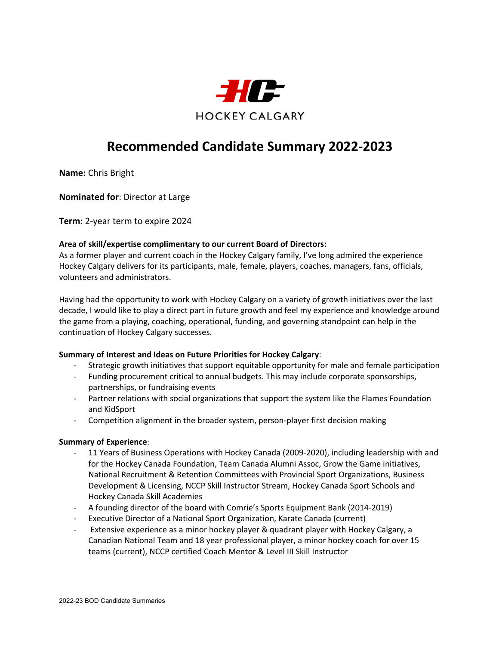

**Name:** Chris Bright

**Nominated for**: Director at Large

**Term:** 2-year term to expire 2024

#### **Area of skill/expertise complimentary to our current Board of Directors:**

As a former player and current coach in the Hockey Calgary family, I've long admired the experience Hockey Calgary delivers for its participants, male, female, players, coaches, managers, fans, officials, volunteers and administrators.

Having had the opportunity to work with Hockey Calgary on a variety of growth initiatives over the last decade, I would like to play a direct part in future growth and feel my experience and knowledge around the game from a playing, coaching, operational, funding, and governing standpoint can help in the continuation of Hockey Calgary successes.

#### **Summary of Interest and Ideas on Future Priorities for Hockey Calgary**:

- Strategic growth initiatives that support equitable opportunity for male and female participation
- Funding procurement critical to annual budgets. This may include corporate sponsorships, partnerships, or fundraising events
- Partner relations with social organizations that support the system like the Flames Foundation and KidSport
- Competition alignment in the broader system, person-player first decision making

#### **Summary of Experience**:

- 11 Years of Business Operations with Hockey Canada (2009-2020), including leadership with and for the Hockey Canada Foundation, Team Canada Alumni Assoc, Grow the Game initiatives, National Recruitment & Retention Committees with Provincial Sport Organizations, Business Development & Licensing, NCCP Skill Instructor Stream, Hockey Canada Sport Schools and Hockey Canada Skill Academies
- A founding director of the board with Comrie's Sports Equipment Bank (2014-2019)
- Executive Director of a National Sport Organization, Karate Canada (current)
- Extensive experience as a minor hockey player & quadrant player with Hockey Calgary, a Canadian National Team and 18 year professional player, a minor hockey coach for over 15 teams (current), NCCP certified Coach Mentor & Level III Skill Instructor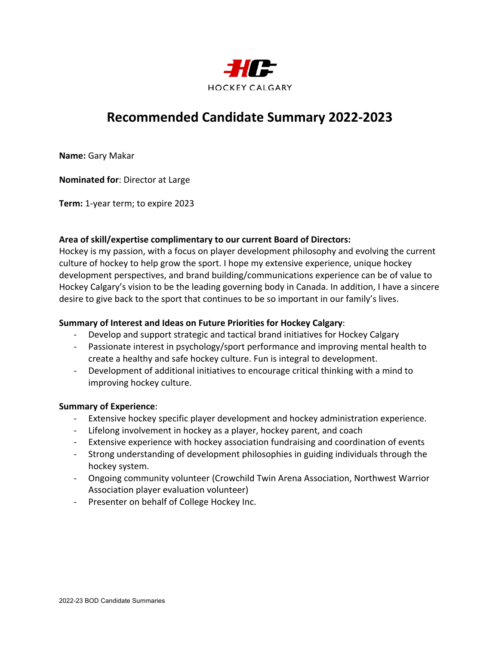

**Name:** Gary Makar

**Nominated for**: Director at Large

**Term:** 1-year term; to expire 2023

## **Area of skill/expertise complimentary to our current Board of Directors:**

Hockey is my passion, with a focus on player development philosophy and evolving the current culture of hockey to help grow the sport. I hope my extensive experience, unique hockey development perspectives, and brand building/communications experience can be of value to Hockey Calgary's vision to be the leading governing body in Canada. In addition, I have a sincere desire to give back to the sport that continues to be so important in our family's lives.

### **Summary of Interest and Ideas on Future Priorities for Hockey Calgary**:

- Develop and support strategic and tactical brand initiatives for Hockey Calgary
- Passionate interest in psychology/sport performance and improving mental health to create a healthy and safe hockey culture. Fun is integral to development.
- Development of additional initiatives to encourage critical thinking with a mind to improving hockey culture.

#### **Summary of Experience**:

- Extensive hockey specific player development and hockey administration experience.
- Lifelong involvement in hockey as a player, hockey parent, and coach
- Extensive experience with hockey association fundraising and coordination of events
- Strong understanding of development philosophies in guiding individuals through the hockey system.
- Ongoing community volunteer (Crowchild Twin Arena Association, Northwest Warrior Association player evaluation volunteer)
- Presenter on behalf of College Hockey Inc.